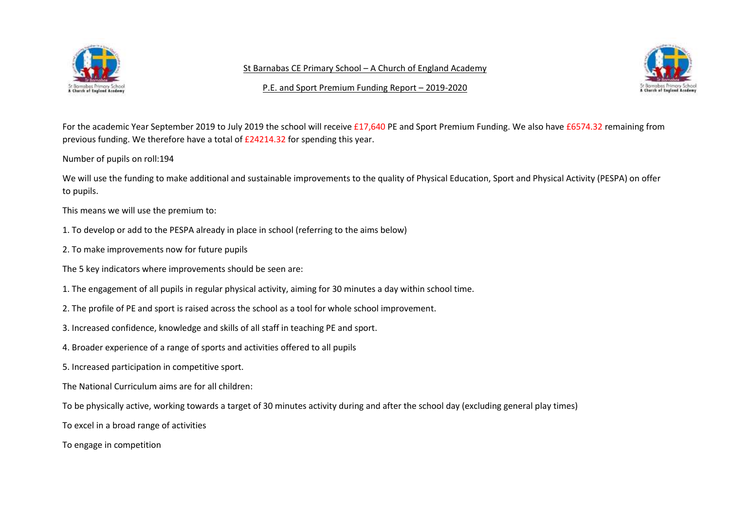

St Barnabas CE Primary School – A Church of England Academy



P.E. and Sport Premium Funding Report – 2019-2020

For the academic Year September 2019 to July 2019 the school will receive £17,640 PE and Sport Premium Funding. We also have £6574.32 remaining from previous funding. We therefore have a total of £24214.32 for spending this year.

Number of pupils on roll:194

We will use the funding to make additional and sustainable improvements to the quality of Physical Education, Sport and Physical Activity (PESPA) on offer to pupils.

This means we will use the premium to:

- 1. To develop or add to the PESPA already in place in school (referring to the aims below)
- 2. To make improvements now for future pupils
- The 5 key indicators where improvements should be seen are:
- 1. The engagement of all pupils in regular physical activity, aiming for 30 minutes a day within school time.
- 2. The profile of PE and sport is raised across the school as a tool for whole school improvement.
- 3. Increased confidence, knowledge and skills of all staff in teaching PE and sport.
- 4. Broader experience of a range of sports and activities offered to all pupils
- 5. Increased participation in competitive sport.
- The National Curriculum aims are for all children:
- To be physically active, working towards a target of 30 minutes activity during and after the school day (excluding general play times)
- To excel in a broad range of activities
- To engage in competition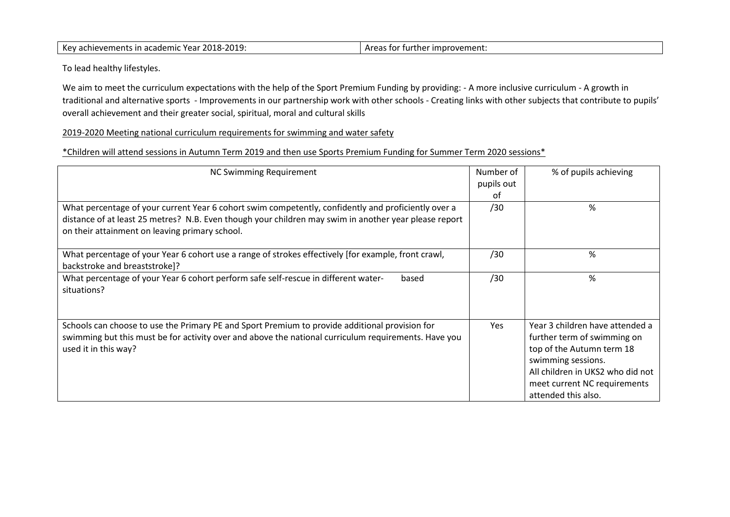|  | Key achievements in academic Year 2018-2019: | Areas for further improvement: |
|--|----------------------------------------------|--------------------------------|
|--|----------------------------------------------|--------------------------------|

To lead healthy lifestyles.

We aim to meet the curriculum expectations with the help of the Sport Premium Funding by providing: - A more inclusive curriculum - A growth in traditional and alternative sports - Improvements in our partnership work with other schools - Creating links with other subjects that contribute to pupils' overall achievement and their greater social, spiritual, moral and cultural skills

2019-2020 Meeting national curriculum requirements for swimming and water safety

\*Children will attend sessions in Autumn Term 2019 and then use Sports Premium Funding for Summer Term 2020 sessions\*

| <b>NC Swimming Requirement</b>                                                                        | Number of  | % of pupils achieving            |
|-------------------------------------------------------------------------------------------------------|------------|----------------------------------|
|                                                                                                       | pupils out |                                  |
|                                                                                                       | 0f         |                                  |
| What percentage of your current Year 6 cohort swim competently, confidently and proficiently over a   | /30        | %                                |
| distance of at least 25 metres? N.B. Even though your children may swim in another year please report |            |                                  |
| on their attainment on leaving primary school.                                                        |            |                                  |
|                                                                                                       |            |                                  |
| What percentage of your Year 6 cohort use a range of strokes effectively [for example, front crawl,   | /30        | %                                |
| backstroke and breaststroke]?                                                                         |            |                                  |
| What percentage of your Year 6 cohort perform safe self-rescue in different water-<br>based           | /30        | %                                |
| situations?                                                                                           |            |                                  |
|                                                                                                       |            |                                  |
|                                                                                                       |            |                                  |
| Schools can choose to use the Primary PE and Sport Premium to provide additional provision for        | <b>Yes</b> | Year 3 children have attended a  |
| swimming but this must be for activity over and above the national curriculum requirements. Have you  |            | further term of swimming on      |
| used it in this way?                                                                                  |            | top of the Autumn term 18        |
|                                                                                                       |            | swimming sessions.               |
|                                                                                                       |            | All children in UKS2 who did not |
|                                                                                                       |            | meet current NC requirements     |
|                                                                                                       |            | attended this also.              |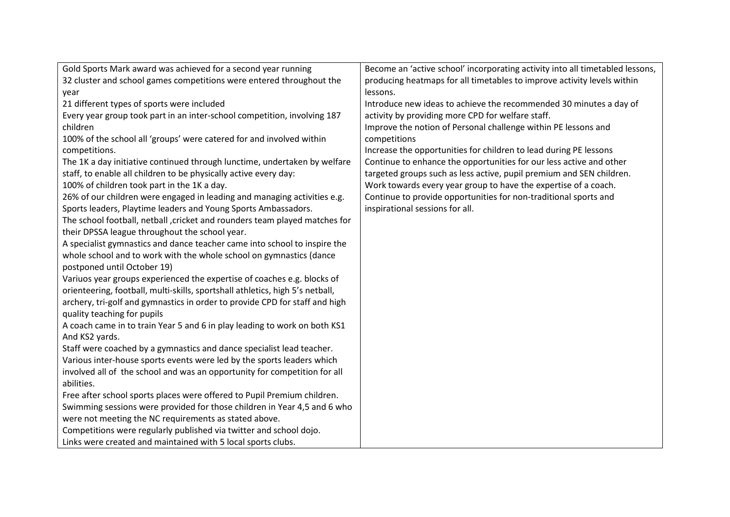| Gold Sports Mark award was achieved for a second year running                 | Become an 'active school' incorporating activity into all timetabled lessons, |
|-------------------------------------------------------------------------------|-------------------------------------------------------------------------------|
| 32 cluster and school games competitions were entered throughout the          | producing heatmaps for all timetables to improve activity levels within       |
| year                                                                          | lessons.                                                                      |
| 21 different types of sports were included                                    | Introduce new ideas to achieve the recommended 30 minutes a day of            |
| Every year group took part in an inter-school competition, involving 187      | activity by providing more CPD for welfare staff.                             |
| children                                                                      | Improve the notion of Personal challenge within PE lessons and                |
| 100% of the school all 'groups' were catered for and involved within          | competitions                                                                  |
| competitions.                                                                 | Increase the opportunities for children to lead during PE lessons             |
| The 1K a day initiative continued through lunctime, undertaken by welfare     | Continue to enhance the opportunities for our less active and other           |
| staff, to enable all children to be physically active every day:              | targeted groups such as less active, pupil premium and SEN children.          |
| 100% of children took part in the 1K a day.                                   | Work towards every year group to have the expertise of a coach.               |
| 26% of our children were engaged in leading and managing activities e.g.      | Continue to provide opportunities for non-traditional sports and              |
| Sports leaders, Playtime leaders and Young Sports Ambassadors.                | inspirational sessions for all.                                               |
| The school football, netball, cricket and rounders team played matches for    |                                                                               |
| their DPSSA league throughout the school year.                                |                                                                               |
| A specialist gymnastics and dance teacher came into school to inspire the     |                                                                               |
| whole school and to work with the whole school on gymnastics (dance           |                                                                               |
| postponed until October 19)                                                   |                                                                               |
| Variuos year groups experienced the expertise of coaches e.g. blocks of       |                                                                               |
| orienteering, football, multi-skills, sportshall athletics, high 5's netball, |                                                                               |
| archery, tri-golf and gymnastics in order to provide CPD for staff and high   |                                                                               |
| quality teaching for pupils                                                   |                                                                               |
| A coach came in to train Year 5 and 6 in play leading to work on both KS1     |                                                                               |
| And KS2 yards.                                                                |                                                                               |
| Staff were coached by a gymnastics and dance specialist lead teacher.         |                                                                               |
| Various inter-house sports events were led by the sports leaders which        |                                                                               |
| involved all of the school and was an opportunity for competition for all     |                                                                               |
| abilities.                                                                    |                                                                               |
| Free after school sports places were offered to Pupil Premium children.       |                                                                               |
| Swimming sessions were provided for those children in Year 4,5 and 6 who      |                                                                               |
| were not meeting the NC requirements as stated above.                         |                                                                               |
| Competitions were regularly published via twitter and school dojo.            |                                                                               |
| Links were created and maintained with 5 local sports clubs.                  |                                                                               |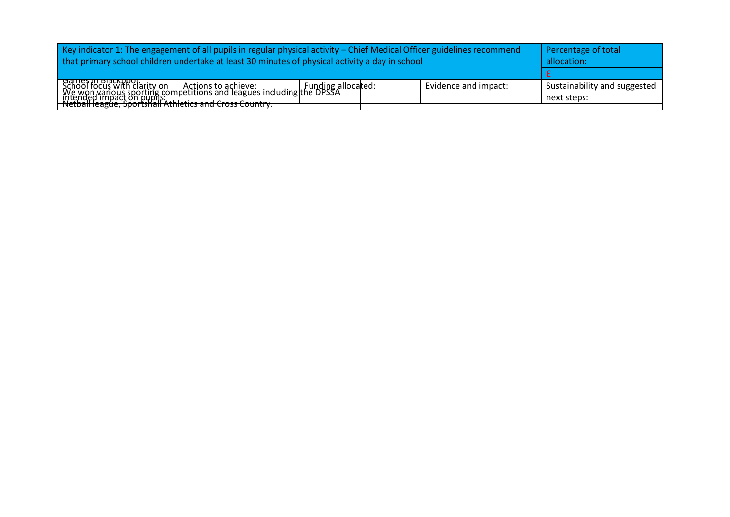| Key indicator 1: The engagement of all pupils in regular physical activity – Chief Medical Officer guidelines recommend                                                                                                                          | Percentage of total |                      |                                             |
|--------------------------------------------------------------------------------------------------------------------------------------------------------------------------------------------------------------------------------------------------|---------------------|----------------------|---------------------------------------------|
| that primary school children undertake at least 30 minutes of physical activity a day in school                                                                                                                                                  | allocation:         |                      |                                             |
|                                                                                                                                                                                                                                                  |                     |                      |                                             |
| School focus with clarity on<br>School focus with clarity on   Actions to achieve:   Funding allocated:<br>  We won various sporting competitions and leagues including the DPSSA<br>  intended impact on pupils:   Athletics and Cross Country. |                     | Evidence and impact: | Sustainability and suggested<br>next steps: |
|                                                                                                                                                                                                                                                  |                     |                      |                                             |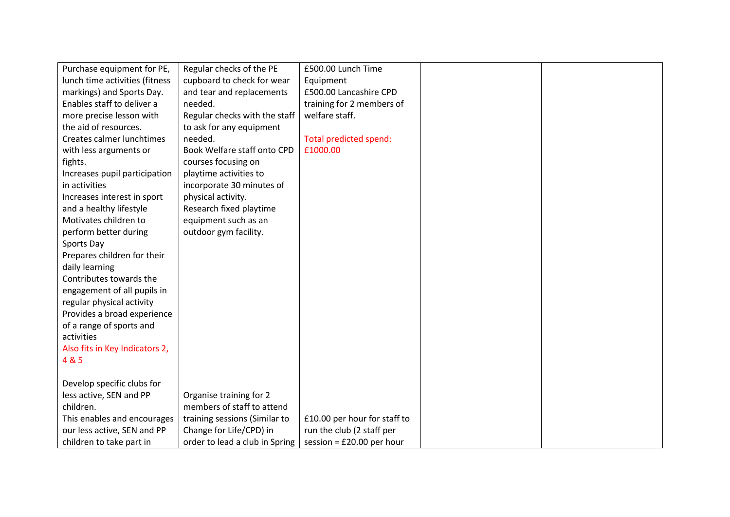| Purchase equipment for PE,     | Regular checks of the PE       | £500.00 Lunch Time           |  |
|--------------------------------|--------------------------------|------------------------------|--|
| lunch time activities (fitness | cupboard to check for wear     | Equipment                    |  |
| markings) and Sports Day.      | and tear and replacements      | £500.00 Lancashire CPD       |  |
| Enables staff to deliver a     | needed.                        | training for 2 members of    |  |
| more precise lesson with       | Regular checks with the staff  | welfare staff.               |  |
| the aid of resources.          | to ask for any equipment       |                              |  |
| Creates calmer lunchtimes      | needed.                        | Total predicted spend:       |  |
| with less arguments or         | Book Welfare staff onto CPD    | £1000.00                     |  |
| fights.                        | courses focusing on            |                              |  |
| Increases pupil participation  | playtime activities to         |                              |  |
| in activities                  | incorporate 30 minutes of      |                              |  |
| Increases interest in sport    | physical activity.             |                              |  |
| and a healthy lifestyle        | Research fixed playtime        |                              |  |
| Motivates children to          | equipment such as an           |                              |  |
| perform better during          | outdoor gym facility.          |                              |  |
| Sports Day                     |                                |                              |  |
| Prepares children for their    |                                |                              |  |
| daily learning                 |                                |                              |  |
| Contributes towards the        |                                |                              |  |
| engagement of all pupils in    |                                |                              |  |
| regular physical activity      |                                |                              |  |
| Provides a broad experience    |                                |                              |  |
| of a range of sports and       |                                |                              |  |
| activities                     |                                |                              |  |
| Also fits in Key Indicators 2, |                                |                              |  |
| 4 & 5                          |                                |                              |  |
|                                |                                |                              |  |
| Develop specific clubs for     |                                |                              |  |
| less active, SEN and PP        | Organise training for 2        |                              |  |
| children.                      | members of staff to attend     |                              |  |
| This enables and encourages    | training sessions (Similar to  | £10.00 per hour for staff to |  |
| our less active, SEN and PP    | Change for Life/CPD) in        | run the club (2 staff per    |  |
| children to take part in       | order to lead a club in Spring | session = $£20.00$ per hour  |  |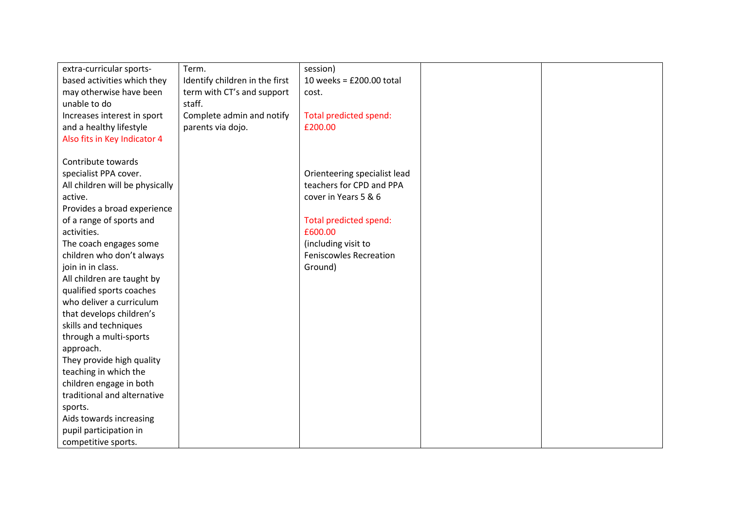| extra-curricular sports-        | Term.                          | session)                      |  |
|---------------------------------|--------------------------------|-------------------------------|--|
| based activities which they     | Identify children in the first | 10 weeks = $£200.00$ total    |  |
| may otherwise have been         | term with CT's and support     | cost.                         |  |
| unable to do                    | staff.                         |                               |  |
| Increases interest in sport     | Complete admin and notify      | Total predicted spend:        |  |
| and a healthy lifestyle         | parents via dojo.              | £200.00                       |  |
| Also fits in Key Indicator 4    |                                |                               |  |
|                                 |                                |                               |  |
| Contribute towards              |                                |                               |  |
| specialist PPA cover.           |                                | Orienteering specialist lead  |  |
| All children will be physically |                                | teachers for CPD and PPA      |  |
| active.                         |                                | cover in Years 5 & 6          |  |
| Provides a broad experience     |                                |                               |  |
| of a range of sports and        |                                | Total predicted spend:        |  |
| activities.                     |                                | £600.00                       |  |
| The coach engages some          |                                | (including visit to           |  |
| children who don't always       |                                | <b>Feniscowles Recreation</b> |  |
| join in in class.               |                                | Ground)                       |  |
| All children are taught by      |                                |                               |  |
| qualified sports coaches        |                                |                               |  |
| who deliver a curriculum        |                                |                               |  |
| that develops children's        |                                |                               |  |
| skills and techniques           |                                |                               |  |
| through a multi-sports          |                                |                               |  |
| approach.                       |                                |                               |  |
| They provide high quality       |                                |                               |  |
| teaching in which the           |                                |                               |  |
| children engage in both         |                                |                               |  |
| traditional and alternative     |                                |                               |  |
| sports.                         |                                |                               |  |
| Aids towards increasing         |                                |                               |  |
| pupil participation in          |                                |                               |  |
| competitive sports.             |                                |                               |  |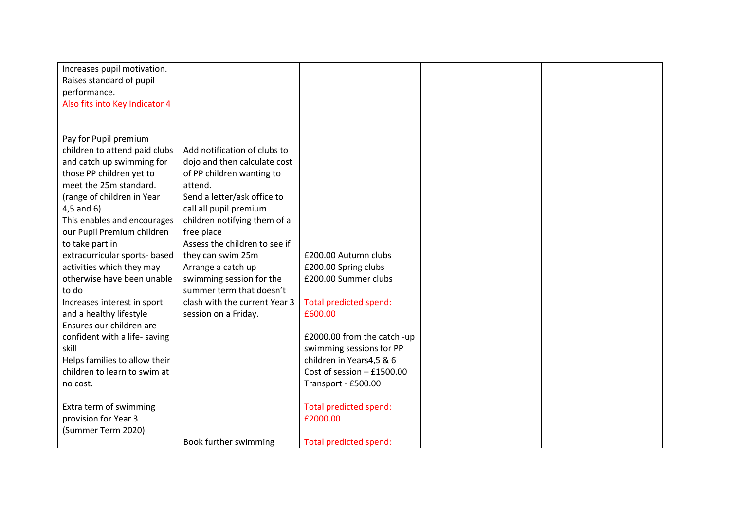| Increases pupil motivation.    |                               |                              |  |
|--------------------------------|-------------------------------|------------------------------|--|
| Raises standard of pupil       |                               |                              |  |
| performance.                   |                               |                              |  |
| Also fits into Key Indicator 4 |                               |                              |  |
|                                |                               |                              |  |
|                                |                               |                              |  |
| Pay for Pupil premium          |                               |                              |  |
| children to attend paid clubs  | Add notification of clubs to  |                              |  |
| and catch up swimming for      | dojo and then calculate cost  |                              |  |
| those PP children yet to       | of PP children wanting to     |                              |  |
| meet the 25m standard.         | attend.                       |                              |  |
| (range of children in Year     | Send a letter/ask office to   |                              |  |
| $4,5$ and $6)$                 | call all pupil premium        |                              |  |
| This enables and encourages    | children notifying them of a  |                              |  |
| our Pupil Premium children     | free place                    |                              |  |
| to take part in                | Assess the children to see if |                              |  |
| extracurricular sports- based  | they can swim 25m             | £200.00 Autumn clubs         |  |
| activities which they may      | Arrange a catch up            | £200.00 Spring clubs         |  |
| otherwise have been unable     | swimming session for the      | £200.00 Summer clubs         |  |
| to do                          | summer term that doesn't      |                              |  |
| Increases interest in sport    | clash with the current Year 3 | Total predicted spend:       |  |
| and a healthy lifestyle        | session on a Friday.          | £600.00                      |  |
| Ensures our children are       |                               |                              |  |
| confident with a life- saving  |                               | £2000.00 from the catch -up  |  |
| skill                          |                               | swimming sessions for PP     |  |
| Helps families to allow their  |                               | children in Years4,5 & 6     |  |
| children to learn to swim at   |                               | Cost of session $-$ £1500.00 |  |
| no cost.                       |                               | Transport - £500.00          |  |
|                                |                               |                              |  |
| Extra term of swimming         |                               | Total predicted spend:       |  |
| provision for Year 3           |                               | £2000.00                     |  |
| (Summer Term 2020)             |                               |                              |  |
|                                | Book further swimming         | Total predicted spend:       |  |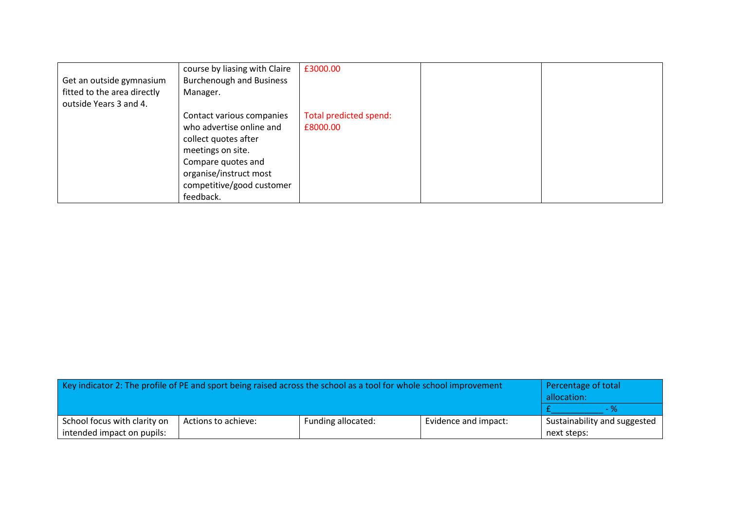|                             | course by liasing with Claire   | £3000.00               |  |
|-----------------------------|---------------------------------|------------------------|--|
| Get an outside gymnasium    | <b>Burchenough and Business</b> |                        |  |
| fitted to the area directly | Manager.                        |                        |  |
| outside Years 3 and 4.      |                                 |                        |  |
|                             | Contact various companies       | Total predicted spend: |  |
|                             | who advertise online and        | £8000.00               |  |
|                             | collect quotes after            |                        |  |
|                             | meetings on site.               |                        |  |
|                             | Compare quotes and              |                        |  |
|                             | organise/instruct most          |                        |  |
|                             | competitive/good customer       |                        |  |
|                             | feedback.                       |                        |  |

| Key indicator 2: The profile of PE and sport being raised across the school as a tool for whole school improvement | Percentage of total<br>allocation: |  |  |             |
|--------------------------------------------------------------------------------------------------------------------|------------------------------------|--|--|-------------|
|                                                                                                                    | - %                                |  |  |             |
| School focus with clarity on                                                                                       | Sustainability and suggested       |  |  |             |
| intended impact on pupils:                                                                                         |                                    |  |  | next steps: |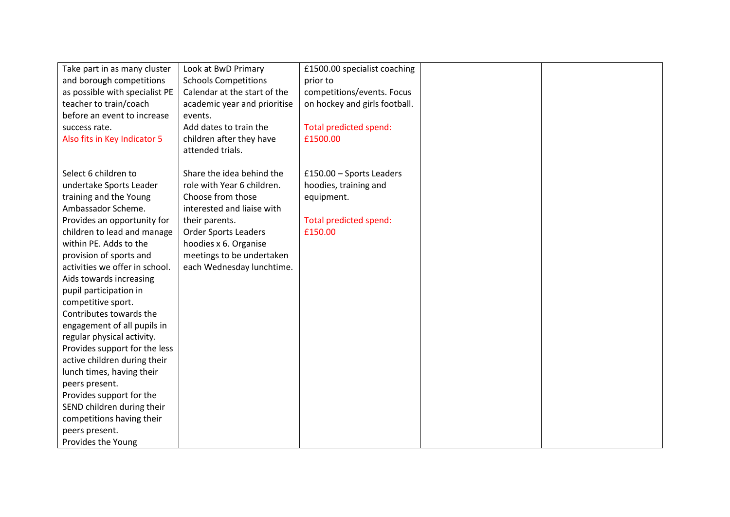| Take part in as many cluster   | Look at BwD Primary          | £1500.00 specialist coaching  |  |
|--------------------------------|------------------------------|-------------------------------|--|
| and borough competitions       | <b>Schools Competitions</b>  | prior to                      |  |
| as possible with specialist PE | Calendar at the start of the | competitions/events. Focus    |  |
| teacher to train/coach         | academic year and prioritise | on hockey and girls football. |  |
| before an event to increase    | events.                      |                               |  |
| success rate.                  | Add dates to train the       | Total predicted spend:        |  |
| Also fits in Key Indicator 5   | children after they have     | £1500.00                      |  |
|                                | attended trials.             |                               |  |
|                                |                              |                               |  |
| Select 6 children to           | Share the idea behind the    | £150.00 - Sports Leaders      |  |
| undertake Sports Leader        | role with Year 6 children.   | hoodies, training and         |  |
| training and the Young         | Choose from those            | equipment.                    |  |
| Ambassador Scheme.             | interested and liaise with   |                               |  |
| Provides an opportunity for    | their parents.               | Total predicted spend:        |  |
| children to lead and manage    | <b>Order Sports Leaders</b>  | £150.00                       |  |
| within PE. Adds to the         | hoodies x 6. Organise        |                               |  |
| provision of sports and        | meetings to be undertaken    |                               |  |
| activities we offer in school. | each Wednesday lunchtime.    |                               |  |
| Aids towards increasing        |                              |                               |  |
| pupil participation in         |                              |                               |  |
| competitive sport.             |                              |                               |  |
| Contributes towards the        |                              |                               |  |
| engagement of all pupils in    |                              |                               |  |
| regular physical activity.     |                              |                               |  |
| Provides support for the less  |                              |                               |  |
| active children during their   |                              |                               |  |
| lunch times, having their      |                              |                               |  |
| peers present.                 |                              |                               |  |
| Provides support for the       |                              |                               |  |
| SEND children during their     |                              |                               |  |
| competitions having their      |                              |                               |  |
| peers present.                 |                              |                               |  |
| Provides the Young             |                              |                               |  |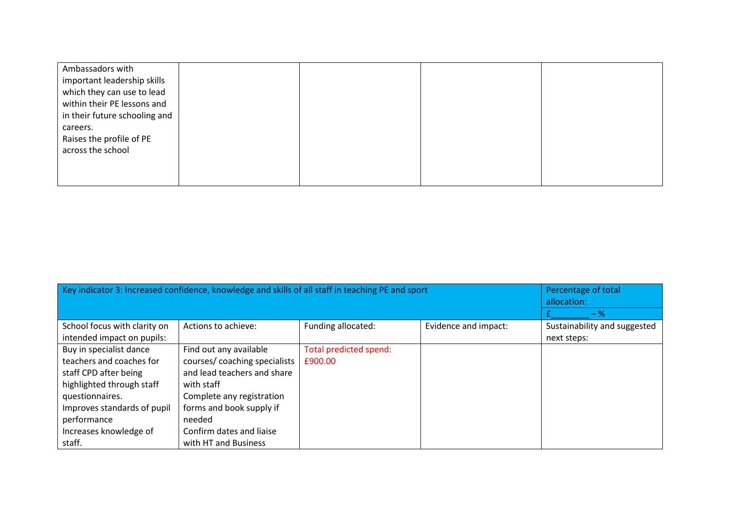| Ambassadors with              |  |  |
|-------------------------------|--|--|
| important leadership skills   |  |  |
| which they can use to lead    |  |  |
| within their PE lessons and   |  |  |
| in their future schooling and |  |  |
| careers.                      |  |  |
| Raises the profile of PE      |  |  |
| across the school             |  |  |
|                               |  |  |
|                               |  |  |
|                               |  |  |

| Key indicator 3: Increased confidence, knowledge and skills of all staff in teaching PE and sport | Percentage of total<br>allocation: |                        |                      |                              |
|---------------------------------------------------------------------------------------------------|------------------------------------|------------------------|----------------------|------------------------------|
|                                                                                                   |                                    |                        |                      | $-$ %                        |
| School focus with clarity on                                                                      | Actions to achieve:                | Funding allocated:     | Evidence and impact: | Sustainability and suggested |
| intended impact on pupils:                                                                        |                                    |                        |                      | next steps:                  |
| Buy in specialist dance                                                                           | Find out any available             | Total predicted spend: |                      |                              |
| teachers and coaches for                                                                          | courses/ coaching specialists      | £900.00                |                      |                              |
| staff CPD after being                                                                             | and lead teachers and share        |                        |                      |                              |
| highlighted through staff                                                                         | with staff                         |                        |                      |                              |
| questionnaires.                                                                                   | Complete any registration          |                        |                      |                              |
| Improves standards of pupil                                                                       | forms and book supply if           |                        |                      |                              |
| performance                                                                                       | needed                             |                        |                      |                              |
| Increases knowledge of                                                                            | Confirm dates and liaise           |                        |                      |                              |
| staff.                                                                                            | with HT and Business               |                        |                      |                              |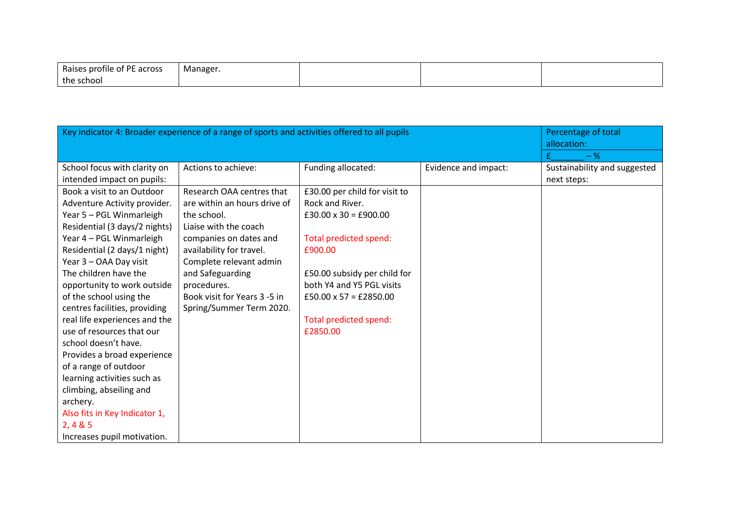| s profile of PE across<br>Raises | Manager.<br>. . |  |  |
|----------------------------------|-----------------|--|--|
| the school                       |                 |  |  |

| Key indicator 4: Broader experience of a range of sports and activities offered to all pupils |                              |                               | Percentage of total<br>allocation: |                              |
|-----------------------------------------------------------------------------------------------|------------------------------|-------------------------------|------------------------------------|------------------------------|
|                                                                                               |                              |                               |                                    | £<br>$-$ %                   |
| School focus with clarity on                                                                  | Actions to achieve:          | Funding allocated:            | Evidence and impact:               | Sustainability and suggested |
| intended impact on pupils:                                                                    |                              |                               |                                    | next steps:                  |
| Book a visit to an Outdoor                                                                    | Research OAA centres that    | £30.00 per child for visit to |                                    |                              |
| Adventure Activity provider.                                                                  | are within an hours drive of | Rock and River.               |                                    |                              |
| Year 5 - PGL Winmarleigh                                                                      | the school.                  | $£30.00 \times 30 = £900.00$  |                                    |                              |
| Residential (3 days/2 nights)                                                                 | Liaise with the coach        |                               |                                    |                              |
| Year 4 - PGL Winmarleigh                                                                      | companies on dates and       | Total predicted spend:        |                                    |                              |
| Residential (2 days/1 night)                                                                  | availability for travel.     | £900.00                       |                                    |                              |
| Year 3 - OAA Day visit                                                                        | Complete relevant admin      |                               |                                    |                              |
| The children have the                                                                         | and Safeguarding             | £50.00 subsidy per child for  |                                    |                              |
| opportunity to work outside                                                                   | procedures.                  | both Y4 and Y5 PGL visits     |                                    |                              |
| of the school using the                                                                       | Book visit for Years 3 -5 in | $£50.00 \times 57 = £2850.00$ |                                    |                              |
| centres facilities, providing                                                                 | Spring/Summer Term 2020.     |                               |                                    |                              |
| real life experiences and the                                                                 |                              | Total predicted spend:        |                                    |                              |
| use of resources that our                                                                     |                              | £2850.00                      |                                    |                              |
| school doesn't have.                                                                          |                              |                               |                                    |                              |
| Provides a broad experience                                                                   |                              |                               |                                    |                              |
| of a range of outdoor                                                                         |                              |                               |                                    |                              |
| learning activities such as                                                                   |                              |                               |                                    |                              |
| climbing, abseiling and                                                                       |                              |                               |                                    |                              |
| archery.                                                                                      |                              |                               |                                    |                              |
| Also fits in Key Indicator 1,                                                                 |                              |                               |                                    |                              |
| 2, 4 & 5                                                                                      |                              |                               |                                    |                              |
| Increases pupil motivation.                                                                   |                              |                               |                                    |                              |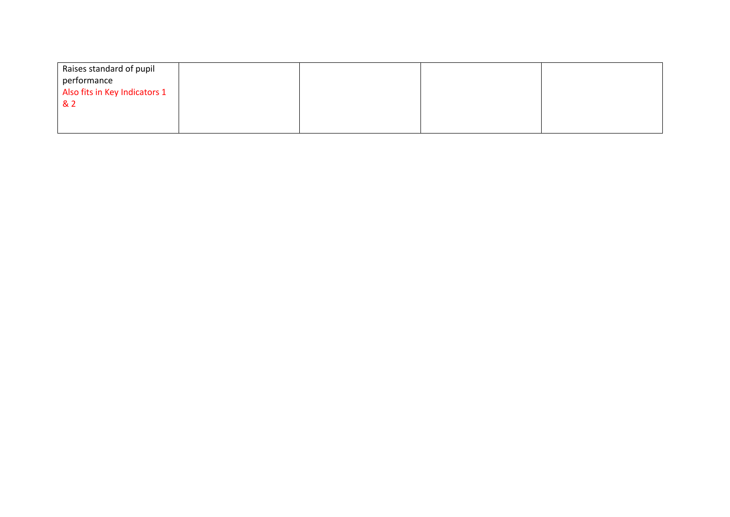| Raises standard of pupil      |  |  |
|-------------------------------|--|--|
| performance                   |  |  |
| Also fits in Key Indicators 1 |  |  |
| & 2                           |  |  |
|                               |  |  |
|                               |  |  |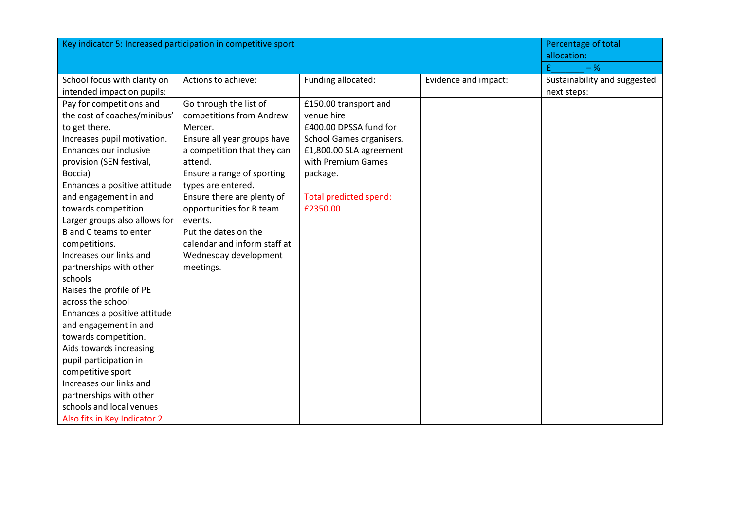|                               | Key indicator 5: Increased participation in competitive sport |                          |                      | Percentage of total<br>allocation: |
|-------------------------------|---------------------------------------------------------------|--------------------------|----------------------|------------------------------------|
|                               |                                                               |                          |                      | $-$ %                              |
| School focus with clarity on  | Actions to achieve:                                           | Funding allocated:       | Evidence and impact: | Sustainability and suggested       |
| intended impact on pupils:    |                                                               |                          |                      | next steps:                        |
| Pay for competitions and      | Go through the list of                                        | £150.00 transport and    |                      |                                    |
| the cost of coaches/minibus'  | competitions from Andrew                                      | venue hire               |                      |                                    |
| to get there.                 | Mercer.                                                       | £400.00 DPSSA fund for   |                      |                                    |
| Increases pupil motivation.   | Ensure all year groups have                                   | School Games organisers. |                      |                                    |
| Enhances our inclusive        | a competition that they can                                   | £1,800.00 SLA agreement  |                      |                                    |
| provision (SEN festival,      | attend.                                                       | with Premium Games       |                      |                                    |
| Boccia)                       | Ensure a range of sporting                                    | package.                 |                      |                                    |
| Enhances a positive attitude  | types are entered.                                            |                          |                      |                                    |
| and engagement in and         | Ensure there are plenty of                                    | Total predicted spend:   |                      |                                    |
| towards competition.          | opportunities for B team                                      | £2350.00                 |                      |                                    |
| Larger groups also allows for | events.                                                       |                          |                      |                                    |
| B and C teams to enter        | Put the dates on the                                          |                          |                      |                                    |
| competitions.                 | calendar and inform staff at                                  |                          |                      |                                    |
| Increases our links and       | Wednesday development                                         |                          |                      |                                    |
| partnerships with other       | meetings.                                                     |                          |                      |                                    |
| schools                       |                                                               |                          |                      |                                    |
| Raises the profile of PE      |                                                               |                          |                      |                                    |
| across the school             |                                                               |                          |                      |                                    |
| Enhances a positive attitude  |                                                               |                          |                      |                                    |
| and engagement in and         |                                                               |                          |                      |                                    |
| towards competition.          |                                                               |                          |                      |                                    |
| Aids towards increasing       |                                                               |                          |                      |                                    |
| pupil participation in        |                                                               |                          |                      |                                    |
| competitive sport             |                                                               |                          |                      |                                    |
| Increases our links and       |                                                               |                          |                      |                                    |
| partnerships with other       |                                                               |                          |                      |                                    |
| schools and local venues      |                                                               |                          |                      |                                    |
| Also fits in Key Indicator 2  |                                                               |                          |                      |                                    |